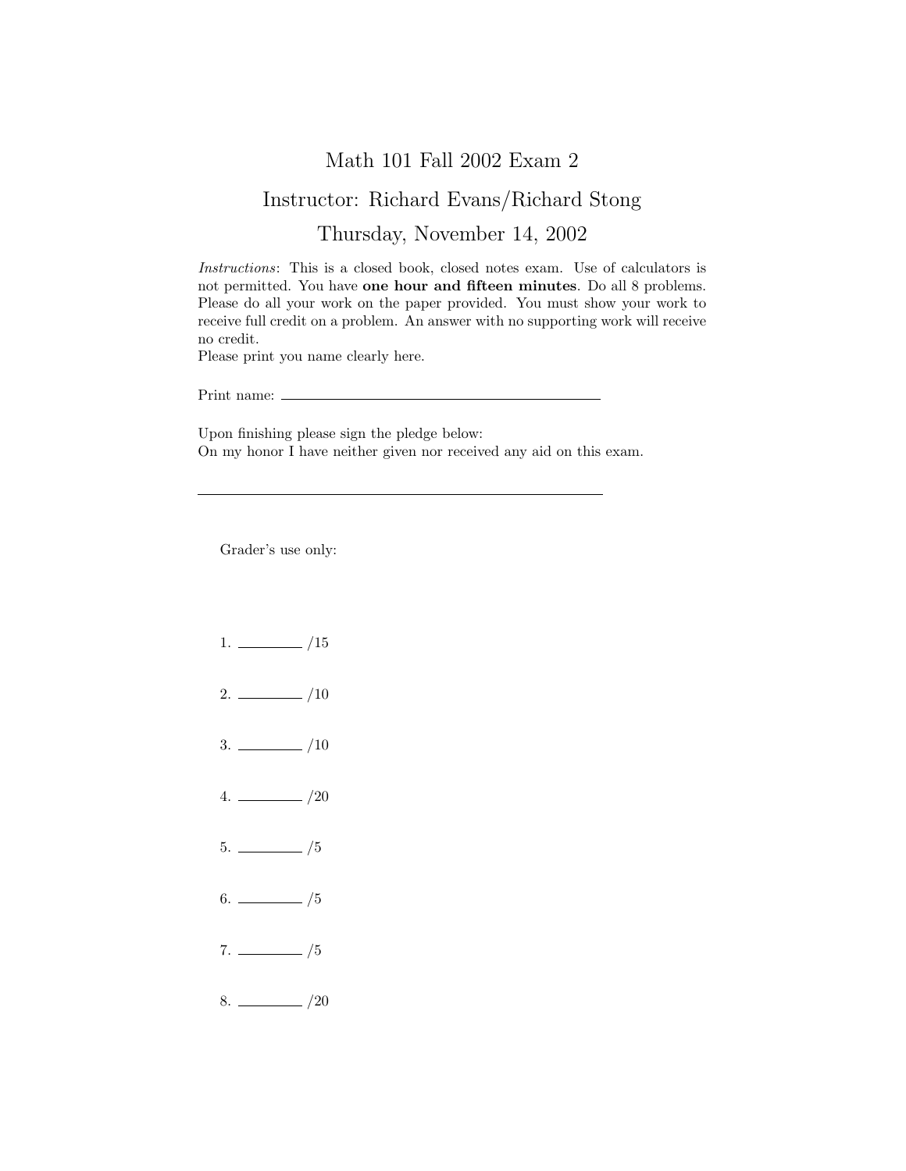## Math 101 Fall 2002 Exam 2

## Instructor: Richard Evans/Richard Stong

## Thursday, November 14, 2002

Instructions: This is a closed book, closed notes exam. Use of calculators is not permitted. You have one hour and fifteen minutes. Do all 8 problems. Please do all your work on the paper provided. You must show your work to receive full credit on a problem. An answer with no supporting work will receive no credit.

Please print you name clearly here.

Print name:

Upon finishing please sign the pledge below: On my honor I have neither given nor received any aid on this exam.

Grader's use only:

- $1. \ \_ \ \_ \ /15$
- $2. \ \frac{\ }{\ }$  /10
- $3. \ \frac{\ }{\ }$  /10
- $4. \ \_ 20$
- $5.$  /5
- $6.$  /5
- $7. \ \_/5$
- $8. \ \_$  /20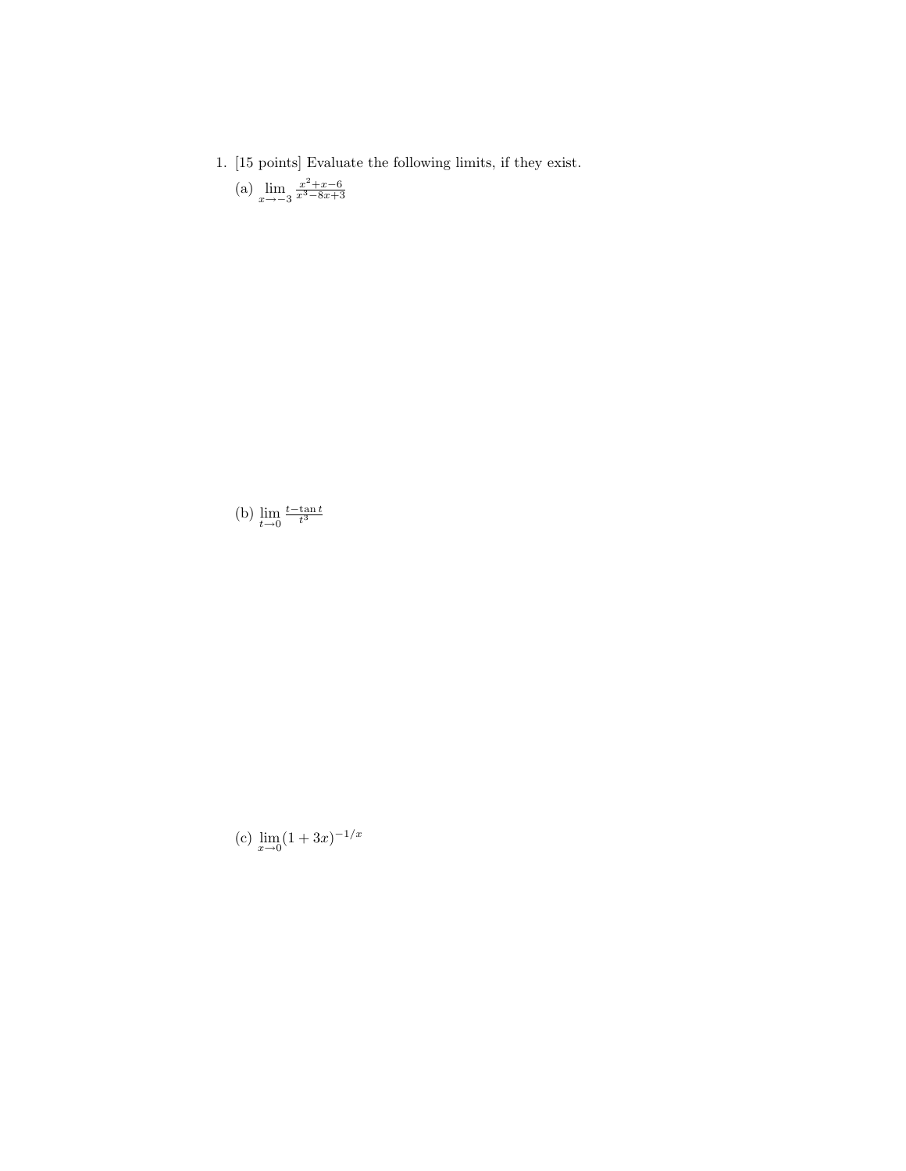- 1. [15 points] Evaluate the following limits, if they exist.
	- (a)  $\lim_{x \to -3} \frac{x^2 + x 6}{x^3 8x + 3}$

(b)  $\lim_{t\to 0} \frac{t-\tan t}{t^3}$ 

(c)  $\lim_{x \to 0} (1 + 3x)^{-1/x}$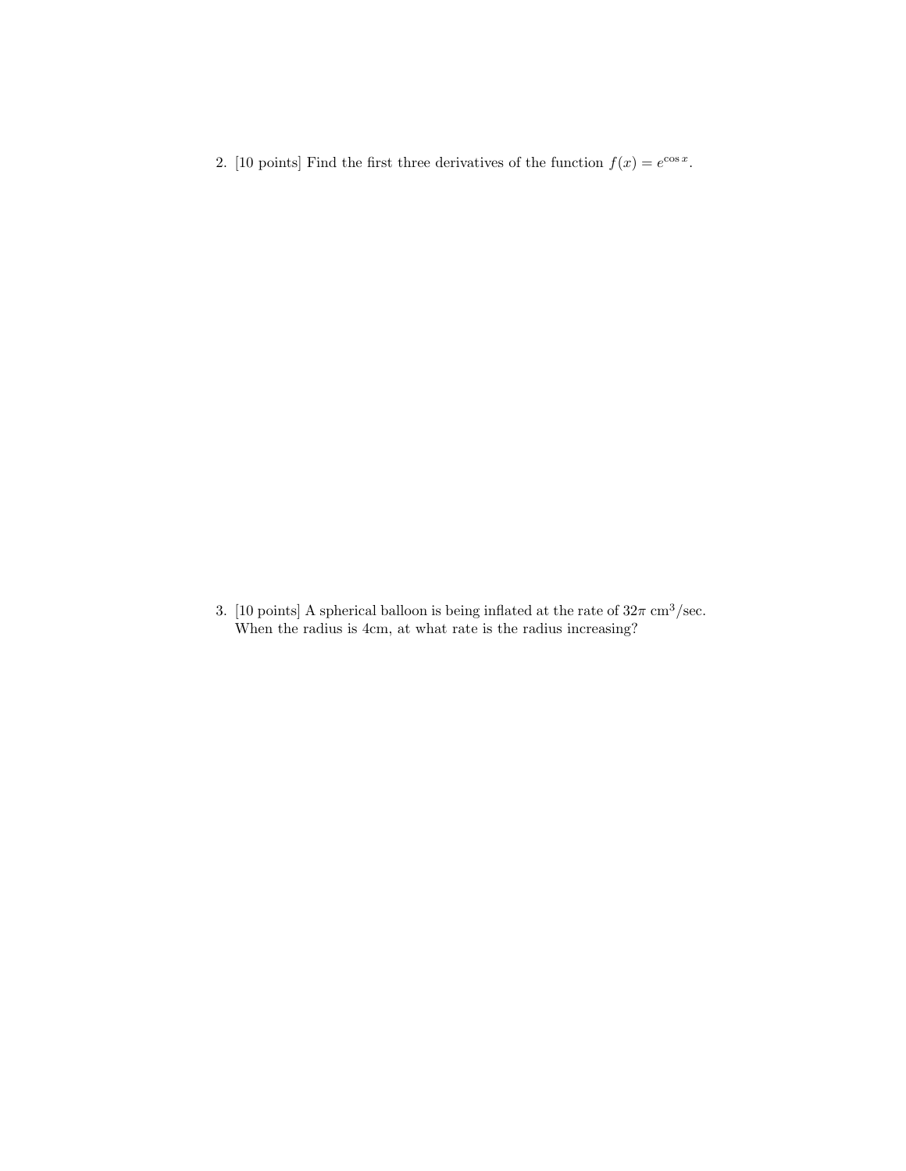2. [10 points] Find the first three derivatives of the function  $f(x) = e^{\cos x}$ .

3. [10 points] A spherical balloon is being inflated at the rate of  $32\pi$  cm<sup>3</sup>/sec. When the radius is 4cm, at what rate is the radius increasing?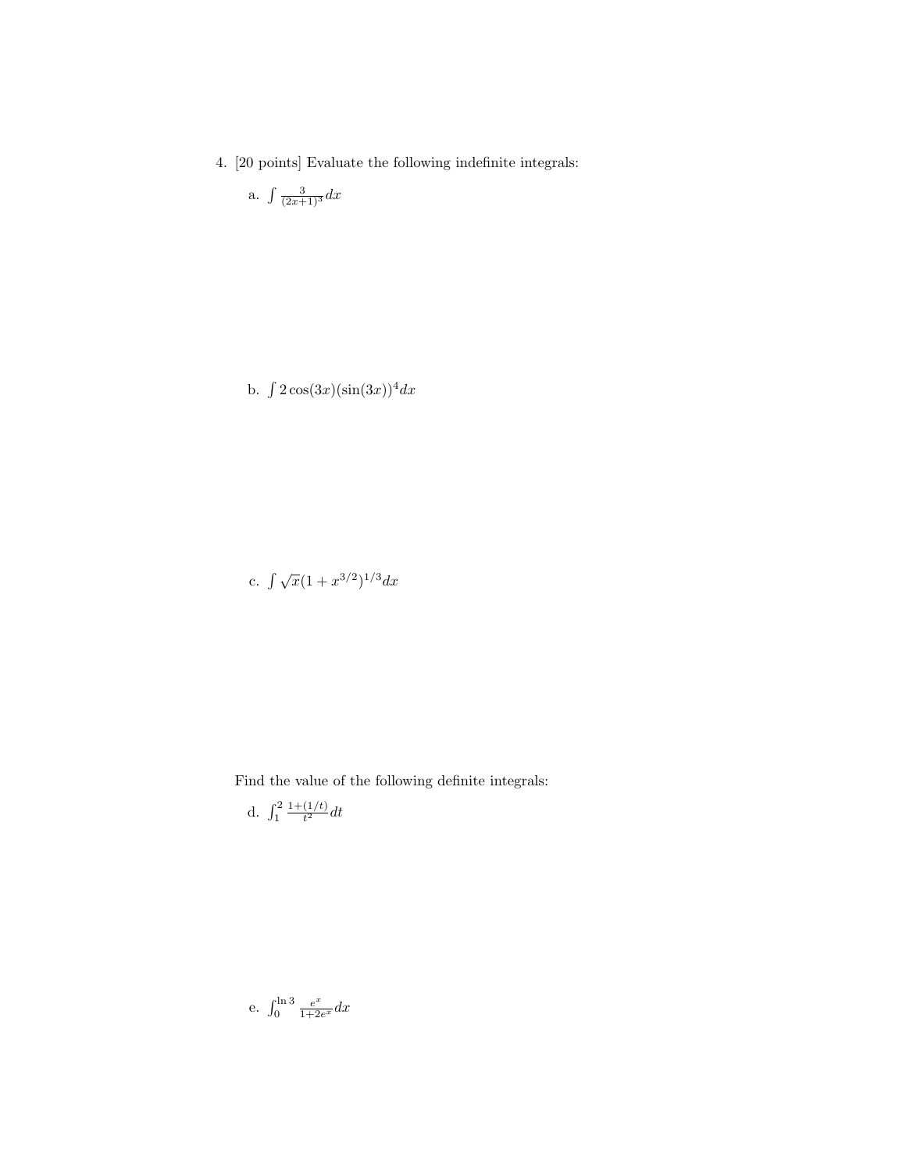4. [20 points] Evaluate the following indefinite integrals:

a. 
$$
\int \frac{3}{(2x+1)^3} dx
$$

b.  $\int 2\cos(3x)(\sin(3x))^4 dx$ 

c.  $\int \sqrt{x}(1+x^{3/2})^{1/3}dx$ 

Find the value of the following definite integrals:

d.  $\int_{1}^{2}$  $1+(1/t)$  $\frac{(1/t)}{t^2}dt$ 

e. 
$$
\int_0^{\ln 3} \frac{e^x}{1+2e^x} dx
$$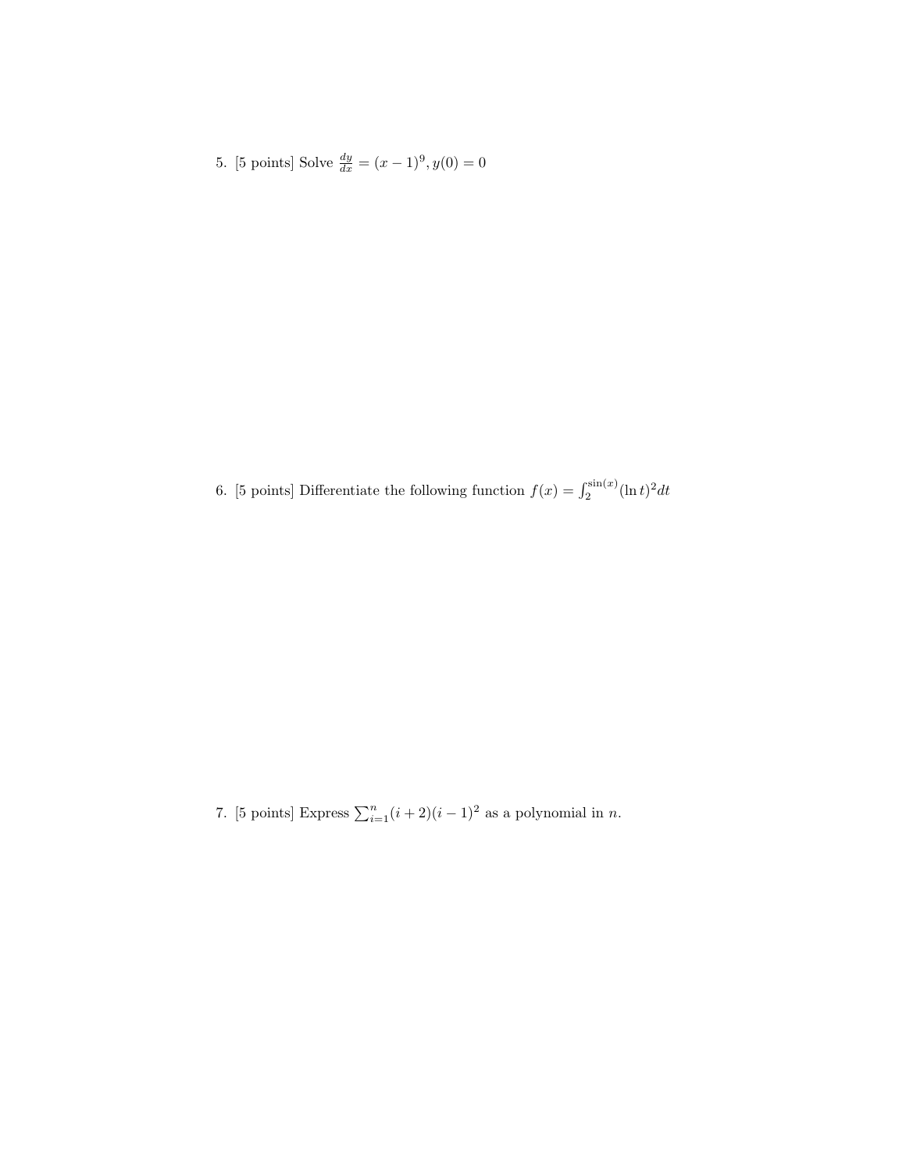5. [5 points] Solve  $\frac{dy}{dx} = (x-1)^9, y(0) = 0$ 

6. [5 points] Differentiate the following function  $f(x) = \int_2^{\sin(x)} (\ln t)^2 dt$ 

7. [5 points] Express  $\sum_{i=1}^{n} (i+2)(i-1)^2$  as a polynomial in *n*.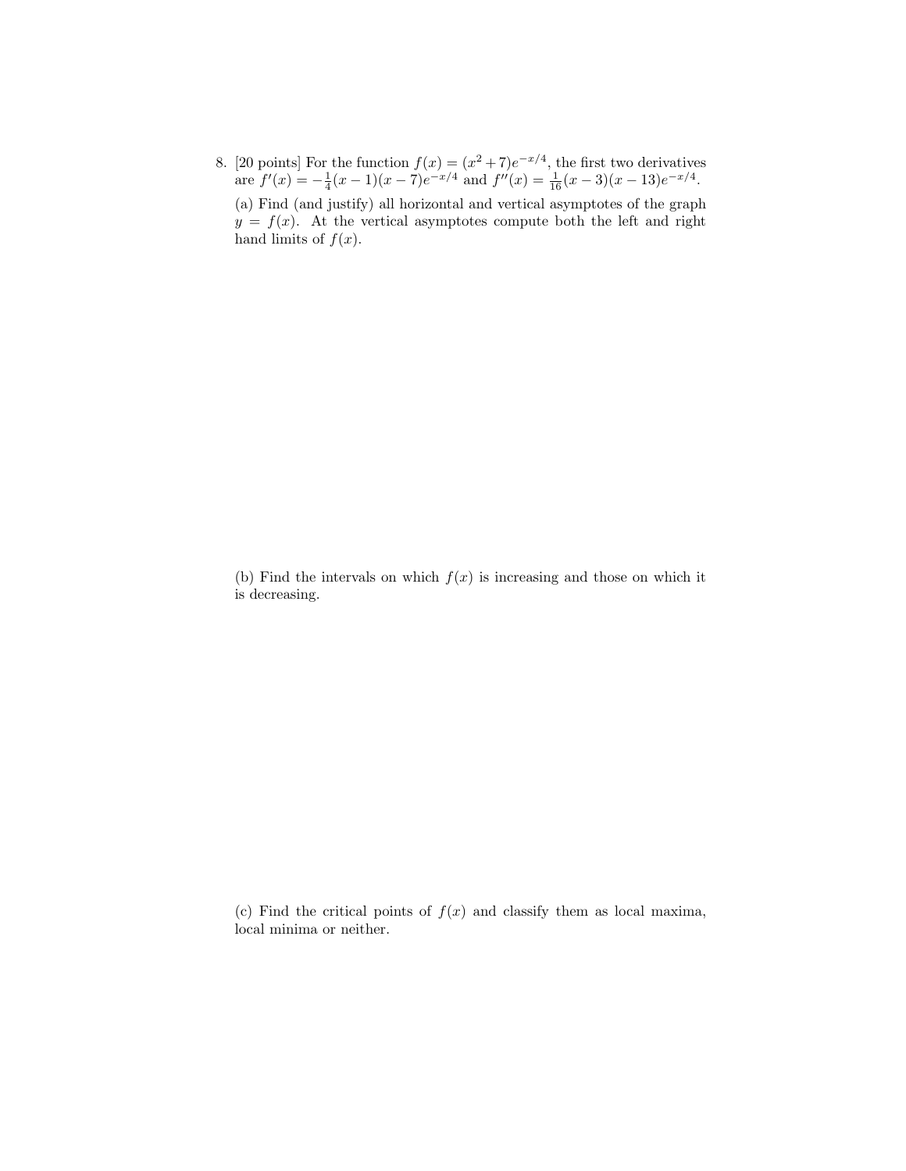8. [20 points] For the function  $f(x) = (x^2 + 7)e^{-x/4}$ , the first two derivatives are  $f'(x) = -\frac{1}{4}(x-1)(x-7)e^{-x/4}$  and  $f''(x) = \frac{1}{16}(x-3)(x-13)e^{-x/4}$ . (a) Find (and justify) all horizontal and vertical asymptotes of the graph  $y = f(x)$ . At the vertical asymptotes compute both the left and right hand limits of  $f(x)$ .

(b) Find the intervals on which  $f(x)$  is increasing and those on which it is decreasing.

(c) Find the critical points of  $f(x)$  and classify them as local maxima, local minima or neither.